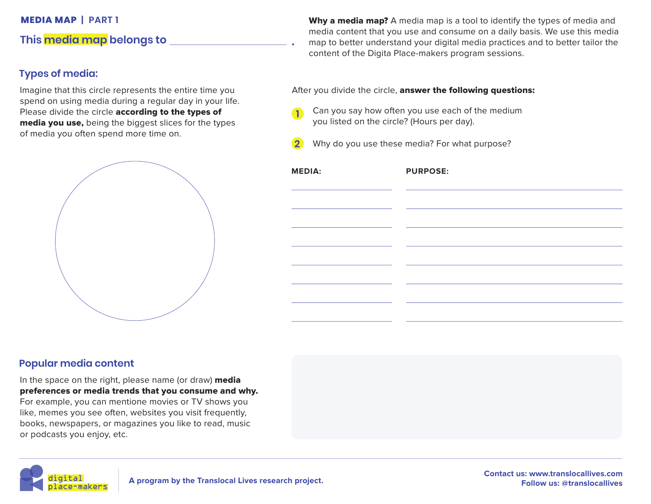# **This media map belongs to .**

# **Types of media:**

Imagine that this circle represents the entire time you spend on using media during a regular day in your life. Please divide the circle **according to the types of** media you use, being the biggest slices for the types of media you often spend more time on.



**MEDIA MAP | PART 1 Why a media map?** A media map is a tool to identify the types of media and media content that you use and consume on a daily basis. We use this media map to better understand your digital media practices and to better tailor the content of the Digita Place-makers program sessions.

After you divide the circle, answer the following questions:

**1** Can you say how often you use each of the medium you listed on the circle? (Hours per day).

**2** Why do you use these media? For what purpose?

| <b>MEDIA:</b> | <b>PURPOSE:</b> |
|---------------|-----------------|
|               |                 |
|               |                 |
|               |                 |
|               |                 |
|               |                 |
|               |                 |
|               |                 |

### **Popular media content**

In the space on the right, please name (or draw) media preferences or media trends that you consume and why. For example, you can mentione movies or TV shows you like, memes you see often, websites you visit frequently, books, newspapers, or magazines you like to read, music or podcasts you enjoy, etc.

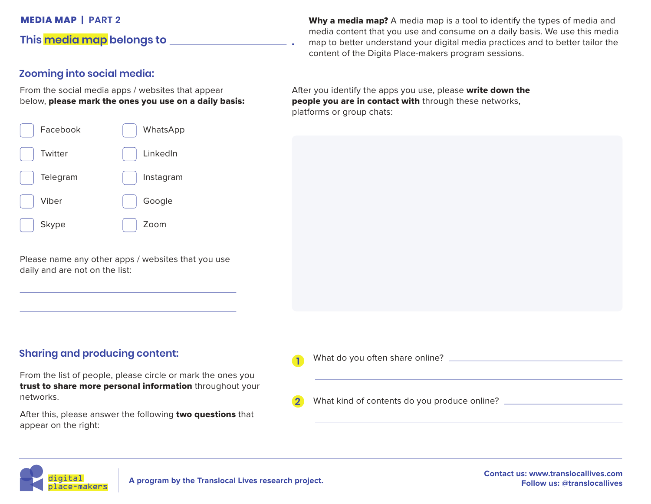### **This media map belongs to .**

#### **Zooming into social media:**

From the social media apps / websites that appear below, please mark the ones you use on a daily basis:

| Facebook     | WhatsApp  |
|--------------|-----------|
| Twitter      | LinkedIn  |
| Telegram     | Instagram |
| Viber        | Google    |
| <b>Skype</b> | Zoom      |

Please name any other apps / websites that you use daily and are not on the list:

**Sharing and producing content:**

From the list of people, please circle or mark the ones you trust to share more personal information throughout your networks.

After this, please answer the following two questions that appear on the right:

**MEDIA MAP | PART 2 Why a media map?** A media map is a tool to identify the types of media and media content that you use and consume on a daily basis. We use this media map to better understand your digital media practices and to better tailor the content of the Digita Place-makers program sessions.

> After you identify the apps you use, please write down the people you are in contact with through these networks, platforms or group chats:



| n              | What do you often share online? _____        |
|----------------|----------------------------------------------|
| $\overline{2}$ | What kind of contents do you produce online? |
|                |                                              |